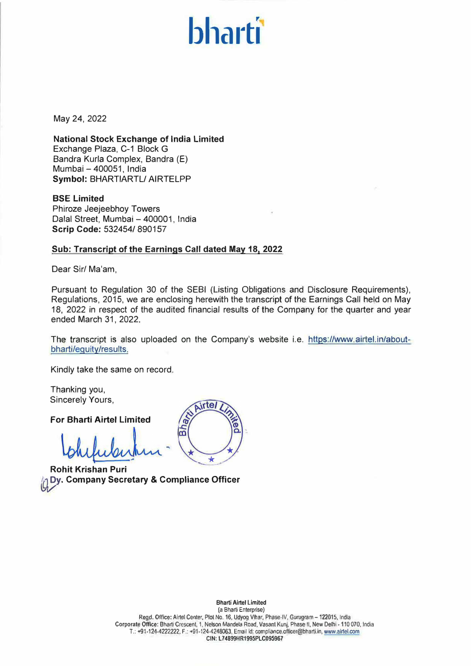# **bart**

May 24, 2022

**National Stock Exchange of India Limited**  Exchange Plaza, C-1 Block G Bandra Kurla Complex, Bandra (E) Mumbai - 400051, India **Symbol:** BHARTIARTL/ AIRTELPP

**BSE Limited**  Phiroze Jeejeebhoy Towers Dalal Street, Mumbai - 400001, India **Scrip Code:** 532454/ 890157

# **Sub: Transcript of the Earnings Call dated May 18, 2022**

Dear Sir/ Ma'am,

Pursuant to Regulation 30 of the SEBI (Listing Obligations and Disclosure Requirements), Regulations, 2015, we are enclosing herewith the transcript of the Earnings Call held on May 18, 2022 in respect of the audited financial results of the Company for the quarter and year ended March 31, 2022.

The transcript is also uploaded on the Company's website i.e. https://www.airtel.in/aboutbharti/equity/results.

ō

Airtel

 $\omega$ 

 $\overline{a}$ 

Kindly take the same on record.

Thanking you, Sincerely Yours,

**For Bharti Airtel Limited** 

**Rohit Krishan Puri Dy. Company Secretary & Compliance Officer**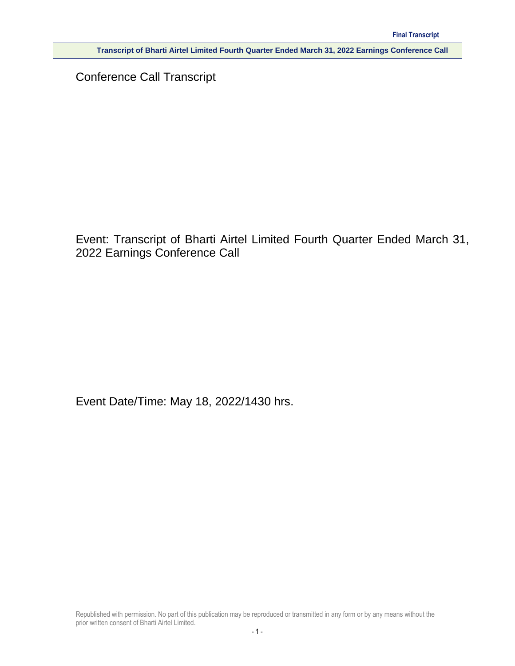Conference Call Transcript

Event: Transcript of Bharti Airtel Limited Fourth Quarter Ended March 31, 2022 Earnings Conference Call

Event Date/Time: May 18, 2022/1430 hrs.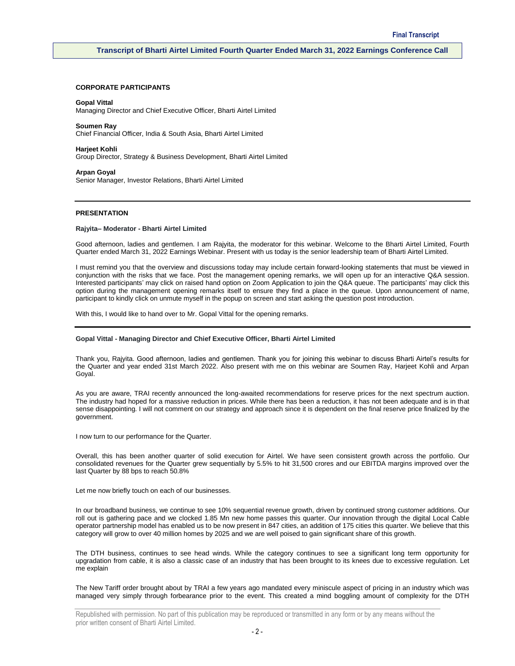# **CORPORATE PARTICIPANTS**

#### **Gopal Vittal**

Managing Director and Chief Executive Officer, Bharti Airtel Limited

**Soumen Ray**

Chief Financial Officer, India & South Asia, Bharti Airtel Limited

**Harjeet Kohli** Group Director, Strategy & Business Development, Bharti Airtel Limited

**Arpan Goyal** Senior Manager, Investor Relations, Bharti Airtel Limited

# **PRESENTATION**

#### **Rajyita– Moderator - Bharti Airtel Limited**

Good afternoon, ladies and gentlemen. I am Rajyita, the moderator for this webinar. Welcome to the Bharti Airtel Limited, Fourth Quarter ended March 31, 2022 Earnings Webinar. Present with us today is the senior leadership team of Bharti Airtel Limited.

I must remind you that the overview and discussions today may include certain forward-looking statements that must be viewed in conjunction with the risks that we face. Post the management opening remarks, we will open up for an interactive Q&A session. Interested participants' may click on raised hand option on Zoom Application to join the Q&A queue. The participants' may click this option during the management opening remarks itself to ensure they find a place in the queue. Upon announcement of name, participant to kindly click on unmute myself in the popup on screen and start asking the question post introduction.

With this, I would like to hand over to Mr. Gopal Vittal for the opening remarks.

#### **Gopal Vittal - Managing Director and Chief Executive Officer, Bharti Airtel Limited**

Thank you, Rajyita. Good afternoon, ladies and gentlemen. Thank you for joining this webinar to discuss Bharti Airtel's results for the Quarter and year ended 31st March 2022. Also present with me on this webinar are Soumen Ray, Harjeet Kohli and Arpan Goyal.

As you are aware, TRAI recently announced the long-awaited recommendations for reserve prices for the next spectrum auction. The industry had hoped for a massive reduction in prices. While there has been a reduction, it has not been adequate and is in that sense disappointing. I will not comment on our strategy and approach since it is dependent on the final reserve price finalized by the government.

I now turn to our performance for the Quarter.

Overall, this has been another quarter of solid execution for Airtel. We have seen consistent growth across the portfolio. Our consolidated revenues for the Quarter grew sequentially by 5.5% to hit 31,500 crores and our EBITDA margins improved over the last Quarter by 88 bps to reach 50.8%

Let me now briefly touch on each of our businesses.

In our broadband business, we continue to see 10% sequential revenue growth, driven by continued strong customer additions. Our roll out is gathering pace and we clocked 1.85 Mn new home passes this quarter. Our innovation through the digital Local Cable operator partnership model has enabled us to be now present in 847 cities, an addition of 175 cities this quarter. We believe that this category will grow to over 40 million homes by 2025 and we are well poised to gain significant share of this growth.

The DTH business, continues to see head winds. While the category continues to see a significant long term opportunity for upgradation from cable, it is also a classic case of an industry that has been brought to its knees due to excessive regulation. Let me explain

The New Tariff order brought about by TRAI a few years ago mandated every miniscule aspect of pricing in an industry which was managed very simply through forbearance prior to the event. This created a mind boggling amount of complexity for the DTH

Republished with permission. No part of this publication may be reproduced or transmitted in any form or by any means without the prior written consent of Bharti Airtel Limited.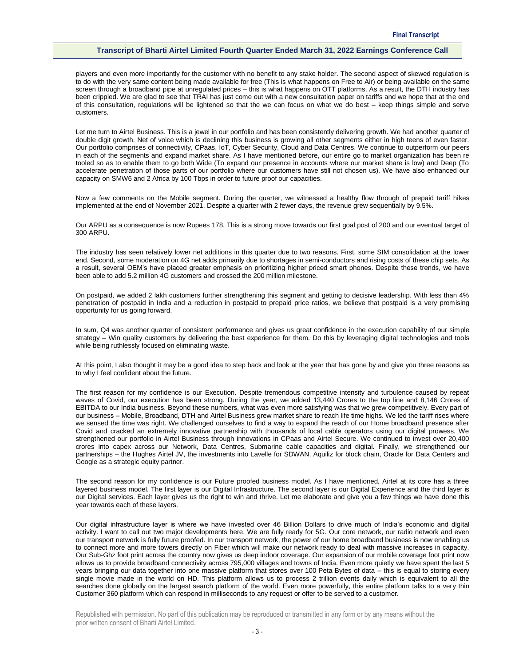players and even more importantly for the customer with no benefit to any stake holder. The second aspect of skewed regulation is to do with the very same content being made available for free (This is what happens on Free to Air) or being available on the same screen through a broadband pipe at unregulated prices – this is what happens on OTT platforms. As a result, the DTH industry has been crippled. We are glad to see that TRAI has just come out with a new consultation paper on tariffs and we hope that at the end of this consultation, regulations will be lightened so that the we can focus on what we do best – keep things simple and serve customers.

Let me turn to Airtel Business. This is a jewel in our portfolio and has been consistently delivering growth. We had another quarter of double digit growth. Net of voice which is declining this business is growing all other segments either in high teens of even faster. Our portfolio comprises of connectivity, CPaas, IoT, Cyber Security, Cloud and Data Centres. We continue to outperform our peers in each of the segments and expand market share. As I have mentioned before, our entire go to market organization has been re tooled so as to enable them to go both Wide (To expand our presence in accounts where our market share is low) and Deep (To accelerate penetration of those parts of our portfolio where our customers have still not chosen us). We have also enhanced our capacity on SMW6 and 2 Africa by 100 Tbps in order to future proof our capacities.

Now a few comments on the Mobile segment. During the quarter, we witnessed a healthy flow through of prepaid tariff hikes implemented at the end of November 2021. Despite a quarter with 2 fewer days, the revenue grew sequentially by 9.5%.

Our ARPU as a consequence is now Rupees 178. This is a strong move towards our first goal post of 200 and our eventual target of 300 ARPU.

The industry has seen relatively lower net additions in this quarter due to two reasons. First, some SIM consolidation at the lower end. Second, some moderation on 4G net adds primarily due to shortages in semi-conductors and rising costs of these chip sets. As a result, several OEM's have placed greater emphasis on prioritizing higher priced smart phones. Despite these trends, we have been able to add 5.2 million 4G customers and crossed the 200 million milestone.

On postpaid, we added 2 lakh customers further strengthening this segment and getting to decisive leadership. With less than 4% penetration of postpaid in India and a reduction in postpaid to prepaid price ratios, we believe that postpaid is a very promising opportunity for us going forward.

In sum, Q4 was another quarter of consistent performance and gives us great confidence in the execution capability of our simple strategy – Win quality customers by delivering the best experience for them. Do this by leveraging digital technologies and tools while being ruthlessly focused on eliminating waste.

At this point, I also thought it may be a good idea to step back and look at the year that has gone by and give you three reasons as to why I feel confident about the future.

The first reason for my confidence is our Execution. Despite tremendous competitive intensity and turbulence caused by repeat waves of Covid, our execution has been strong. During the year, we added 13,440 Crores to the top line and 8,146 Crores of EBITDA to our India business. Beyond these numbers, what was even more satisfying was that we grew competitively. Every part of our business – Mobile, Broadband, DTH and Airtel Business grew market share to reach life time highs. We led the tariff rises where we sensed the time was right. We challenged ourselves to find a way to expand the reach of our Home broadband presence after Covid and cracked an extremely innovative partnership with thousands of local cable operators using our digital prowess. We strengthened our portfolio in Airtel Business through innovations in CPaas and Airtel Secure. We continued to invest over 20,400 crores into capex across our Network, Data Centres, Submarine cable capacities and digital. Finally, we strengthened our partnerships – the Hughes Airtel JV, the investments into Lavelle for SDWAN, Aquiliz for block chain, Oracle for Data Centers and Google as a strategic equity partner.

The second reason for my confidence is our Future proofed business model. As I have mentioned, Airtel at its core has a three layered business model. The first layer is our Digital Infrastructure. The second layer is our Digital Experience and the third layer is our Digital services. Each layer gives us the right to win and thrive. Let me elaborate and give you a few things we have done this year towards each of these layers.

Our digital infrastructure layer is where we have invested over 46 Billion Dollars to drive much of India's economic and digital activity. I want to call out two major developments here. We are fully ready for 5G. Our core network, our radio network and even our transport network is fully future proofed. In our transport network, the power of our home broadband business is now enabling us to connect more and more towers directly on Fiber which will make our network ready to deal with massive increases in capacity. Our Sub-Ghz foot print across the country now gives us deep indoor coverage. Our expansion of our mobile coverage foot print now allows us to provide broadband connectivity across 795,000 villages and towns of India. Even more quietly we have spent the last 5 years bringing our data together into one massive platform that stores over 100 Peta Bytes of data – this is equal to storing every single movie made in the world on HD. This platform allows us to process 2 trillion events daily which is equivalent to all the searches done globally on the largest search platform of the world. Even more powerfully, this entire platform talks to a very thin Customer 360 platform which can respond in milliseconds to any request or offer to be served to a customer.

Republished with permission. No part of this publication may be reproduced or transmitted in any form or by any means without the prior written consent of Bharti Airtel Limited.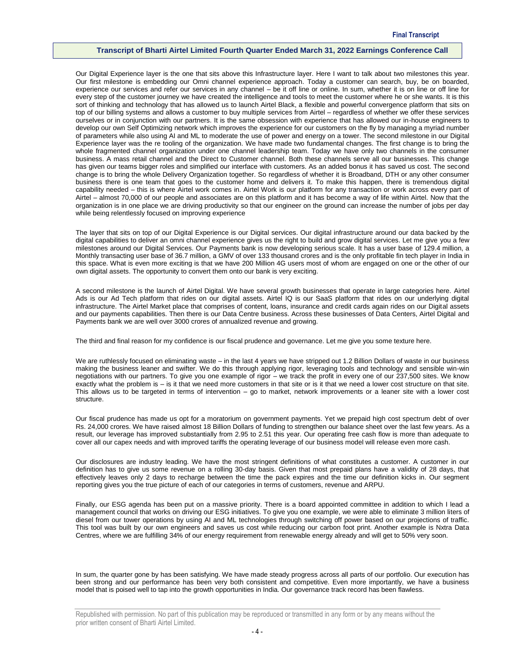Our Digital Experience layer is the one that sits above this Infrastructure layer. Here I want to talk about two milestones this year. Our first milestone is embedding our Omni channel experience approach. Today a customer can search, buy, be on boarded, experience our services and refer our services in any channel – be it off line or online. In sum, whether it is on line or off line for every step of the customer journey we have created the intelligence and tools to meet the customer where he or she wants. It is this sort of thinking and technology that has allowed us to launch Airtel Black, a flexible and powerful convergence platform that sits on top of our billing systems and allows a customer to buy multiple services from Airtel – regardless of whether we offer these services ourselves or in conjunction with our partners. It is the same obsession with experience that has allowed our in-house engineers to develop our own Self Optimizing network which improves the experience for our customers on the fly by managing a myriad number of parameters while also using AI and ML to moderate the use of power and energy on a tower. The second milestone in our Digital Experience layer was the re tooling of the organization. We have made two fundamental changes. The first change is to bring the whole fragmented channel organization under one channel leadership team. Today we have only two channels in the consumer business. A mass retail channel and the Direct to Customer channel. Both these channels serve all our businesses. This change has given our teams bigger roles and simplified our interface with customers. As an added bonus it has saved us cost. The second change is to bring the whole Delivery Organization together. So regardless of whether it is Broadband, DTH or any other consumer business there is one team that goes to the customer home and delivers it. To make this happen, there is tremendous digital capability needed – this is where Airtel work comes in. Airtel Work is our platform for any transaction or work across every part of Airtel – almost 70,000 of our people and associates are on this platform and it has become a way of life within Airtel. Now that the organization is in one place we are driving productivity so that our engineer on the ground can increase the number of jobs per day while being relentlessly focused on improving experience

The layer that sits on top of our Digital Experience is our Digital services. Our digital infrastructure around our data backed by the digital capabilities to deliver an omni channel experience gives us the right to build and grow digital services. Let me give you a few milestones around our Digital Services. Our Payments bank is now developing serious scale. It has a user base of 129.4 million, a Monthly transacting user base of 36.7 million, a GMV of over 133 thousand crores and is the only profitable fin tech player in India in this space. What is even more exciting is that we have 200 Million 4G users most of whom are engaged on one or the other of our own digital assets. The opportunity to convert them onto our bank is very exciting.

A second milestone is the launch of Airtel Digital. We have several growth businesses that operate in large categories here. Airtel Ads is our Ad Tech platform that rides on our digital assets. Airtel IQ is our SaaS platform that rides on our underlying digital infrastructure. The Airtel Market place that comprises of content, loans, insurance and credit cards again rides on our Digital assets and our payments capabilities. Then there is our Data Centre business. Across these businesses of Data Centers, Airtel Digital and Payments bank we are well over 3000 crores of annualized revenue and growing.

The third and final reason for my confidence is our fiscal prudence and governance. Let me give you some texture here.

We are ruthlessly focused on eliminating waste – in the last 4 years we have stripped out 1.2 Billion Dollars of waste in our business making the business leaner and swifter. We do this through applying rigor, leveraging tools and technology and sensible win-win negotiations with our partners. To give you one example of rigor – we track the profit in every one of our 237,500 sites. We know exactly what the problem is – is it that we need more customers in that site or is it that we need a lower cost structure on that site. This allows us to be targeted in terms of intervention – go to market, network improvements or a leaner site with a lower cost structure.

Our fiscal prudence has made us opt for a moratorium on government payments. Yet we prepaid high cost spectrum debt of over Rs. 24,000 crores. We have raised almost 18 Billion Dollars of funding to strengthen our balance sheet over the last few years. As a result, our leverage has improved substantially from 2.95 to 2.51 this year. Our operating free cash flow is more than adequate to cover all our capex needs and with improved tariffs the operating leverage of our business model will release even more cash.

Our disclosures are industry leading. We have the most stringent definitions of what constitutes a customer. A customer in our definition has to give us some revenue on a rolling 30-day basis. Given that most prepaid plans have a validity of 28 days, that effectively leaves only 2 days to recharge between the time the pack expires and the time our definition kicks in. Our segment reporting gives you the true picture of each of our categories in terms of customers, revenue and ARPU.

Finally, our ESG agenda has been put on a massive priority. There is a board appointed committee in addition to which I lead a management council that works on driving our ESG initiatives. To give you one example, we were able to eliminate 3 million liters of diesel from our tower operations by using AI and ML technologies through switching off power based on our projections of traffic. This tool was built by our own engineers and saves us cost while reducing our carbon foot print. Another example is Nxtra Data Centres, where we are fulfilling 34% of our energy requirement from renewable energy already and will get to 50% very soon.

In sum, the quarter gone by has been satisfying. We have made steady progress across all parts of our portfolio. Our execution has been strong and our performance has been very both consistent and competitive. Even more importantly, we have a business model that is poised well to tap into the growth opportunities in India. Our governance track record has been flawless.

Republished with permission. No part of this publication may be reproduced or transmitted in any form or by any means without the prior written consent of Bharti Airtel Limited.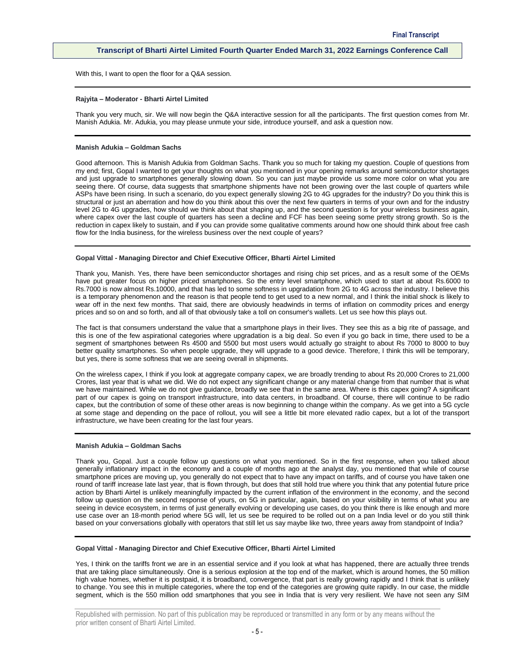With this, I want to open the floor for a Q&A session.

#### **Rajyita – Moderator - Bharti Airtel Limited**

Thank you very much, sir. We will now begin the Q&A interactive session for all the participants. The first question comes from Mr. Manish Adukia. Mr. Adukia, you may please unmute your side, introduce yourself, and ask a question now.

# **Manish Adukia – Goldman Sachs**

Good afternoon. This is Manish Adukia from Goldman Sachs. Thank you so much for taking my question. Couple of questions from my end; first, Gopal I wanted to get your thoughts on what you mentioned in your opening remarks around semiconductor shortages and just upgrade to smartphones generally slowing down. So you can just maybe provide us some more color on what you are seeing there. Of course, data suggests that smartphone shipments have not been growing over the last couple of quarters while ASPs have been rising. In such a scenario, do you expect generally slowing 2G to 4G upgrades for the industry? Do you think this is structural or just an aberration and how do you think about this over the next few quarters in terms of your own and for the industry level 2G to 4G upgrades, how should we think about that shaping up, and the second question is for your wireless business again, where capex over the last couple of quarters has seen a decline and FCF has been seeing some pretty strong growth. So is the reduction in capex likely to sustain, and if you can provide some qualitative comments around how one should think about free cash flow for the India business, for the wireless business over the next couple of years?

# **Gopal Vittal - Managing Director and Chief Executive Officer, Bharti Airtel Limited**

Thank you, Manish. Yes, there have been semiconductor shortages and rising chip set prices, and as a result some of the OEMs have put greater focus on higher priced smartphones. So the entry level smartphone, which used to start at about Rs.6000 to Rs.7000 is now almost Rs.10000, and that has led to some softness in upgradation from 2G to 4G across the industry. I believe this is a temporary phenomenon and the reason is that people tend to get used to a new normal, and I think the initial shock is likely to wear off in the next few months. That said, there are obviously headwinds in terms of inflation on commodity prices and energy prices and so on and so forth, and all of that obviously take a toll on consumer's wallets. Let us see how this plays out.

The fact is that consumers understand the value that a smartphone plays in their lives. They see this as a big rite of passage, and this is one of the few aspirational categories where upgradation is a big deal. So even if you go back in time, there used to be a segment of smartphones between Rs 4500 and 5500 but most users would actually go straight to about Rs 7000 to 8000 to buy better quality smartphones. So when people upgrade, they will upgrade to a good device. Therefore, I think this will be temporary, but yes, there is some softness that we are seeing overall in shipments.

On the wireless capex, I think if you look at aggregate company capex, we are broadly trending to about Rs 20,000 Crores to 21,000 Crores, last year that is what we did. We do not expect any significant change or any material change from that number that is what we have maintained. While we do not give guidance, broadly we see that in the same area. Where is this capex going? A significant part of our capex is going on transport infrastructure, into data centers, in broadband. Of course, there will continue to be radio capex, but the contribution of some of these other areas is now beginning to change within the company. As we get into a 5G cycle at some stage and depending on the pace of rollout, you will see a little bit more elevated radio capex, but a lot of the transport infrastructure, we have been creating for the last four years.

#### **Manish Adukia – Goldman Sachs**

Thank you, Gopal. Just a couple follow up questions on what you mentioned. So in the first response, when you talked about generally inflationary impact in the economy and a couple of months ago at the analyst day, you mentioned that while of course smartphone prices are moving up, you generally do not expect that to have any impact on tariffs, and of course you have taken one round of tariff increase late last year, that is flown through, but does that still hold true where you think that any potential future price action by Bharti Airtel is unlikely meaningfully impacted by the current inflation of the environment in the economy, and the second follow up question on the second response of yours, on 5G in particular, again, based on your visibility in terms of what you are seeing in device ecosystem, in terms of just generally evolving or developing use cases, do you think there is like enough and more use case over an 18-month period where 5G will, let us see be required to be rolled out on a pan India level or do you still think based on your conversations globally with operators that still let us say maybe like two, three years away from standpoint of India?

#### **Gopal Vittal - Managing Director and Chief Executive Officer, Bharti Airtel Limited**

Yes, I think on the tariffs front we are in an essential service and if you look at what has happened, there are actually three trends that are taking place simultaneously. One is a serious explosion at the top end of the market, which is around homes, the 50 million high value homes, whether it is postpaid, it is broadband, convergence, that part is really growing rapidly and I think that is unlikely to change. You see this in multiple categories, where the top end of the categories are growing quite rapidly. In our case, the middle segment, which is the 550 million odd smartphones that you see in India that is very very resilient. We have not seen any SIM

Republished with permission. No part of this publication may be reproduced or transmitted in any form or by any means without the prior written consent of Bharti Airtel Limited.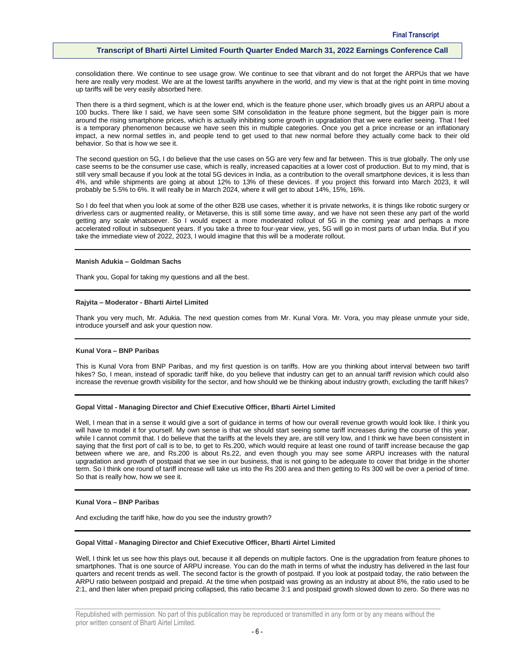consolidation there. We continue to see usage grow. We continue to see that vibrant and do not forget the ARPUs that we have here are really very modest. We are at the lowest tariffs anywhere in the world, and my view is that at the right point in time moving up tariffs will be very easily absorbed here.

Then there is a third segment, which is at the lower end, which is the feature phone user, which broadly gives us an ARPU about a 100 bucks. There like I said, we have seen some SIM consolidation in the feature phone segment, but the bigger pain is more around the rising smartphone prices, which is actually inhibiting some growth in upgradation that we were earlier seeing. That I feel is a temporary phenomenon because we have seen this in multiple categories. Once you get a price increase or an inflationary impact, a new normal settles in, and people tend to get used to that new normal before they actually come back to their old behavior. So that is how we see it.

The second question on 5G, I do believe that the use cases on 5G are very few and far between. This is true globally. The only use case seems to be the consumer use case, which is really, increased capacities at a lower cost of production. But to my mind, that is still very small because if you look at the total 5G devices in India, as a contribution to the overall smartphone devices, it is less than 4%, and while shipments are going at about 12% to 13% of these devices. If you project this forward into March 2023, it will probably be 5.5% to 6%. It will really be in March 2024, where it will get to about 14%, 15%, 16%.

So I do feel that when you look at some of the other B2B use cases, whether it is private networks, it is things like robotic surgery or driverless cars or augmented reality, or Metaverse, this is still some time away, and we have not seen these any part of the world getting any scale whatsoever. So I would expect a more moderated rollout of 5G in the coming year and perhaps a more accelerated rollout in subsequent years. If you take a three to four-year view, yes, 5G will go in most parts of urban India. But if you take the immediate view of 2022, 2023, I would imagine that this will be a moderate rollout.

#### **Manish Adukia – Goldman Sachs**

Thank you, Gopal for taking my questions and all the best.

#### **Rajyita – Moderator - Bharti Airtel Limited**

Thank you very much, Mr. Adukia. The next question comes from Mr. Kunal Vora. Mr. Vora, you may please unmute your side, introduce yourself and ask your question now.

# **Kunal Vora – BNP Paribas**

This is Kunal Vora from BNP Paribas, and my first question is on tariffs. How are you thinking about interval between two tariff hikes? So, I mean, instead of sporadic tariff hike, do you believe that industry can get to an annual tariff revision which could also increase the revenue growth visibility for the sector, and how should we be thinking about industry growth, excluding the tariff hikes?

# **Gopal Vittal - Managing Director and Chief Executive Officer, Bharti Airtel Limited**

Well, I mean that in a sense it would give a sort of guidance in terms of how our overall revenue growth would look like. I think you will have to model it for yourself. My own sense is that we should start seeing some tariff increases during the course of this year, while I cannot commit that. I do believe that the tariffs at the levels they are, are still very low, and I think we have been consistent in saying that the first port of call is to be, to get to Rs.200, which would require at least one round of tariff increase because the gap between where we are, and Rs.200 is about Rs.22, and even though you may see some ARPU increases with the natural upgradation and growth of postpaid that we see in our business, that is not going to be adequate to cover that bridge in the shorter term. So I think one round of tariff increase will take us into the Rs 200 area and then getting to Rs 300 will be over a period of time. So that is really how, how we see it.

#### **Kunal Vora – BNP Paribas**

And excluding the tariff hike, how do you see the industry growth?

### **Gopal Vittal - Managing Director and Chief Executive Officer, Bharti Airtel Limited**

Well, I think let us see how this plays out, because it all depends on multiple factors. One is the upgradation from feature phones to smartphones. That is one source of ARPU increase. You can do the math in terms of what the industry has delivered in the last four quarters and recent trends as well. The second factor is the growth of postpaid. If you look at postpaid today, the ratio between the ARPU ratio between postpaid and prepaid. At the time when postpaid was growing as an industry at about 8%, the ratio used to be 2:1, and then later when prepaid pricing collapsed, this ratio became 3:1 and postpaid growth slowed down to zero. So there was no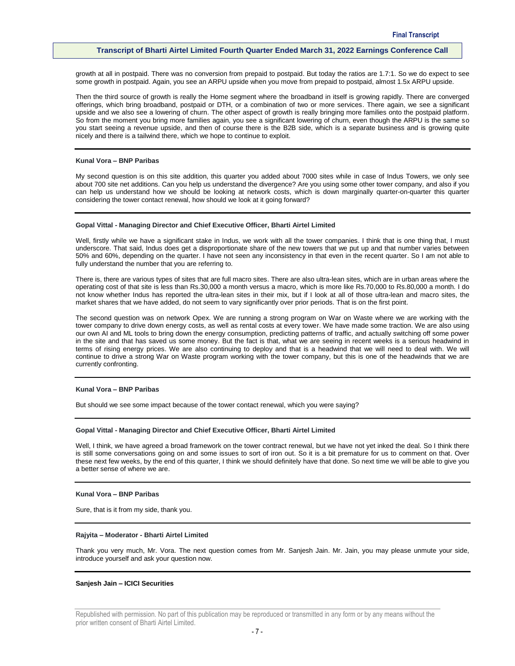growth at all in postpaid. There was no conversion from prepaid to postpaid. But today the ratios are 1.7:1. So we do expect to see some growth in postpaid. Again, you see an ARPU upside when you move from prepaid to postpaid, almost 1.5x ARPU upside.

Then the third source of growth is really the Home segment where the broadband in itself is growing rapidly. There are converged offerings, which bring broadband, postpaid or DTH, or a combination of two or more services. There again, we see a significant upside and we also see a lowering of churn. The other aspect of growth is really bringing more families onto the postpaid platform. So from the moment you bring more families again, you see a significant lowering of churn, even though the ARPU is the same so you start seeing a revenue upside, and then of course there is the B2B side, which is a separate business and is growing quite nicely and there is a tailwind there, which we hope to continue to exploit.

# **Kunal Vora – BNP Paribas**

My second question is on this site addition, this quarter you added about 7000 sites while in case of Indus Towers, we only see about 700 site net additions. Can you help us understand the divergence? Are you using some other tower company, and also if you can help us understand how we should be looking at network costs, which is down marginally quarter-on-quarter this quarter considering the tower contact renewal, how should we look at it going forward?

#### **Gopal Vittal - Managing Director and Chief Executive Officer, Bharti Airtel Limited**

Well, firstly while we have a significant stake in Indus, we work with all the tower companies. I think that is one thing that, I must underscore. That said, Indus does get a disproportionate share of the new towers that we put up and that number varies between 50% and 60%, depending on the quarter. I have not seen any inconsistency in that even in the recent quarter. So I am not able to fully understand the number that you are referring to.

There is, there are various types of sites that are full macro sites. There are also ultra-lean sites, which are in urban areas where the operating cost of that site is less than Rs.30,000 a month versus a macro, which is more like Rs.70,000 to Rs.80,000 a month. I do not know whether Indus has reported the ultra-lean sites in their mix, but if I look at all of those ultra-lean and macro sites, the market shares that we have added, do not seem to vary significantly over prior periods. That is on the first point.

The second question was on network Opex. We are running a strong program on War on Waste where we are working with the tower company to drive down energy costs, as well as rental costs at every tower. We have made some traction. We are also using our own AI and ML tools to bring down the energy consumption, predicting patterns of traffic, and actually switching off some power in the site and that has saved us some money. But the fact is that, what we are seeing in recent weeks is a serious headwind in terms of rising energy prices. We are also continuing to deploy and that is a headwind that we will need to deal with. We will continue to drive a strong War on Waste program working with the tower company, but this is one of the headwinds that we are currently confronting.

# **Kunal Vora – BNP Paribas**

But should we see some impact because of the tower contact renewal, which you were saying?

#### **Gopal Vittal - Managing Director and Chief Executive Officer, Bharti Airtel Limited**

Well, I think, we have agreed a broad framework on the tower contract renewal, but we have not yet inked the deal. So I think there is still some conversations going on and some issues to sort of iron out. So it is a bit premature for us to comment on that. Over these next few weeks, by the end of this quarter, I think we should definitely have that done. So next time we will be able to give you a better sense of where we are.

#### **Kunal Vora – BNP Paribas**

Sure, that is it from my side, thank you.

## **Rajyita – Moderator - Bharti Airtel Limited**

Thank you very much, Mr. Vora. The next question comes from Mr. Sanjesh Jain. Mr. Jain, you may please unmute your side, introduce yourself and ask your question now.

# **Sanjesh Jain – ICICI Securities**

Republished with permission. No part of this publication may be reproduced or transmitted in any form or by any means without the prior written consent of Bharti Airtel Limited.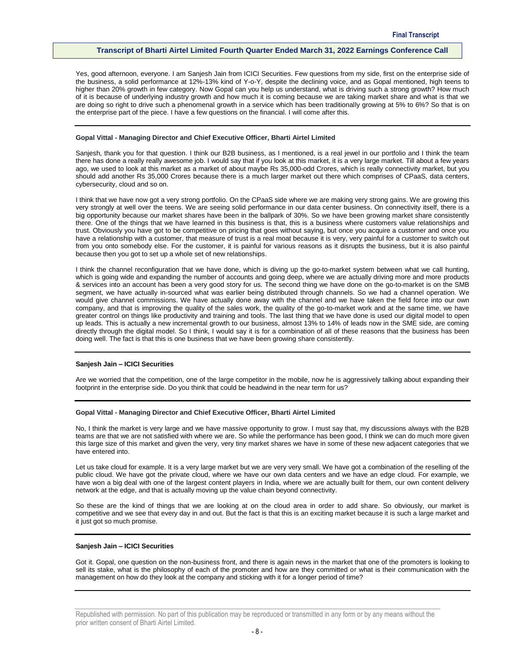Yes, good afternoon, everyone. I am Sanjesh Jain from ICICI Securities. Few questions from my side, first on the enterprise side of the business, a solid performance at 12%-13% kind of Y-o-Y, despite the declining voice, and as Gopal mentioned, high teens to higher than 20% growth in few category. Now Gopal can you help us understand, what is driving such a strong growth? How much of it is because of underlying industry growth and how much it is coming because we are taking market share and what is that we are doing so right to drive such a phenomenal growth in a service which has been traditionally growing at 5% to 6%? So that is on the enterprise part of the piece. I have a few questions on the financial. I will come after this.

# **Gopal Vittal - Managing Director and Chief Executive Officer, Bharti Airtel Limited**

Sanjesh, thank you for that question. I think our B2B business, as I mentioned, is a real jewel in our portfolio and I think the team there has done a really really awesome job. I would say that if you look at this market, it is a very large market. Till about a few years ago, we used to look at this market as a market of about maybe Rs 35,000-odd Crores, which is really connectivity market, but you should add another Rs 35,000 Crores because there is a much larger market out there which comprises of CPaaS, data centers, cybersecurity, cloud and so on.

I think that we have now got a very strong portfolio. On the CPaaS side where we are making very strong gains. We are growing this very strongly at well over the teens. We are seeing solid performance in our data center business. On connectivity itself, there is a big opportunity because our market shares have been in the ballpark of 30%. So we have been growing market share consistently there. One of the things that we have learned in this business is that, this is a business where customers value relationships and trust. Obviously you have got to be competitive on pricing that goes without saying, but once you acquire a customer and once you have a relationship with a customer, that measure of trust is a real moat because it is very, very painful for a customer to switch out from you onto somebody else. For the customer, it is painful for various reasons as it disrupts the business, but it is also painful because then you got to set up a whole set of new relationships.

I think the channel reconfiguration that we have done, which is diving up the go-to-market system between what we call hunting, which is going wide and expanding the number of accounts and going deep, where we are actually driving more and more products & services into an account has been a very good story for us. The second thing we have done on the go-to-market is on the SMB segment, we have actually in-sourced what was earlier being distributed through channels. So we had a channel operation. We would give channel commissions. We have actually done away with the channel and we have taken the field force into our own company, and that is improving the quality of the sales work, the quality of the go-to-market work and at the same time, we have greater control on things like productivity and training and tools. The last thing that we have done is used our digital model to open up leads. This is actually a new incremental growth to our business, almost 13% to 14% of leads now in the SME side, are coming directly through the digital model. So I think, I would say it is for a combination of all of these reasons that the business has been doing well. The fact is that this is one business that we have been growing share consistently.

#### **Sanjesh Jain – ICICI Securities**

Are we worried that the competition, one of the large competitor in the mobile, now he is aggressively talking about expanding their footprint in the enterprise side. Do you think that could be headwind in the near term for us?

#### **Gopal Vittal - Managing Director and Chief Executive Officer, Bharti Airtel Limited**

No, I think the market is very large and we have massive opportunity to grow. I must say that, my discussions always with the B2B teams are that we are not satisfied with where we are. So while the performance has been good, I think we can do much more given this large size of this market and given the very, very tiny market shares we have in some of these new adjacent categories that we have entered into.

Let us take cloud for example. It is a very large market but we are very very small. We have got a combination of the reselling of the public cloud. We have got the private cloud, where we have our own data centers and we have an edge cloud. For example, we have won a big deal with one of the largest content players in India, where we are actually built for them, our own content delivery network at the edge, and that is actually moving up the value chain beyond connectivity.

So these are the kind of things that we are looking at on the cloud area in order to add share. So obviously, our market is competitive and we see that every day in and out. But the fact is that this is an exciting market because it is such a large market and it just got so much promise.

# **Sanjesh Jain – ICICI Securities**

Got it. Gopal, one question on the non-business front, and there is again news in the market that one of the promoters is looking to sell its stake, what is the philosophy of each of the promoter and how are they committed or what is their communication with the management on how do they look at the company and sticking with it for a longer period of time?

Republished with permission. No part of this publication may be reproduced or transmitted in any form or by any means without the prior written consent of Bharti Airtel Limited.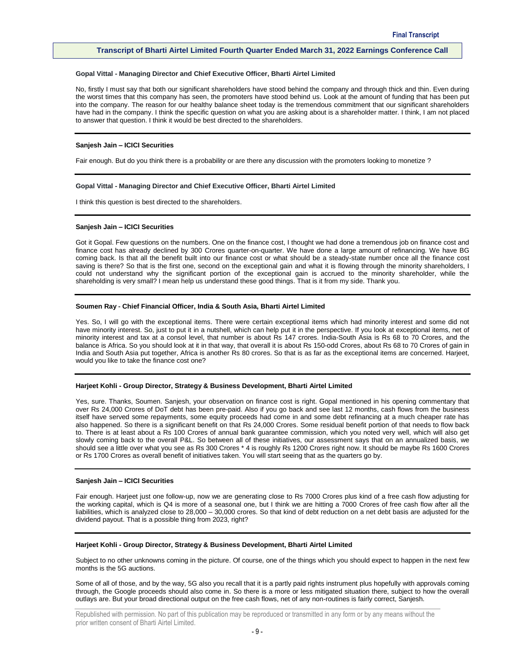#### **Gopal Vittal - Managing Director and Chief Executive Officer, Bharti Airtel Limited**

No, firstly I must say that both our significant shareholders have stood behind the company and through thick and thin. Even during the worst times that this company has seen, the promoters have stood behind us. Look at the amount of funding that has been put into the company. The reason for our healthy balance sheet today is the tremendous commitment that our significant shareholders have had in the company. I think the specific question on what you are asking about is a shareholder matter. I think, I am not placed to answer that question. I think it would be best directed to the shareholders.

#### **Sanjesh Jain – ICICI Securities**

Fair enough. But do you think there is a probability or are there any discussion with the promoters looking to monetize ?

#### **Gopal Vittal - Managing Director and Chief Executive Officer, Bharti Airtel Limited**

I think this question is best directed to the shareholders.

## **Sanjesh Jain – ICICI Securities**

Got it Gopal. Few questions on the numbers. One on the finance cost, I thought we had done a tremendous job on finance cost and finance cost has already declined by 300 Crores quarter-on-quarter. We have done a large amount of refinancing. We have BG coming back. Is that all the benefit built into our finance cost or what should be a steady-state number once all the finance cost saving is there? So that is the first one, second on the exceptional gain and what it is flowing through the minority shareholders, I could not understand why the significant portion of the exceptional gain is accrued to the minority shareholder, while the shareholding is very small? I mean help us understand these good things. That is it from my side. Thank you.

#### **Soumen Ray - Chief Financial Officer, India & South Asia, Bharti Airtel Limited**

Yes. So, I will go with the exceptional items. There were certain exceptional items which had minority interest and some did not have minority interest. So, just to put it in a nutshell, which can help put it in the perspective. If you look at exceptional items, net of minority interest and tax at a consol level, that number is about Rs 147 crores. India-South Asia is Rs 68 to 70 Crores, and the balance is Africa. So you should look at it in that way, that overall it is about Rs 150-odd Crores, about Rs 68 to 70 Crores of gain in India and South Asia put together, Africa is another Rs 80 crores. So that is as far as the exceptional items are concerned. Harjeet, would you like to take the finance cost one?

#### **Harjeet Kohli - Group Director, Strategy & Business Development, Bharti Airtel Limited**

Yes, sure. Thanks, Soumen. Sanjesh, your observation on finance cost is right. Gopal mentioned in his opening commentary that over Rs 24,000 Crores of DoT debt has been pre-paid. Also if you go back and see last 12 months, cash flows from the business itself have served some repayments, some equity proceeds had come in and some debt refinancing at a much cheaper rate has also happened. So there is a significant benefit on that Rs 24,000 Crores. Some residual benefit portion of that needs to flow back to. There is at least about a Rs 100 Crores of annual bank guarantee commission, which you noted very well, which will also get slowly coming back to the overall P&L. So between all of these initiatives, our assessment says that on an annualized basis, we should see a little over what you see as Rs 300 Crores \* 4 is roughly Rs 1200 Crores right now. It should be maybe Rs 1600 Crores or Rs 1700 Crores as overall benefit of initiatives taken. You will start seeing that as the quarters go by.

#### **Sanjesh Jain – ICICI Securities**

Fair enough. Harjeet just one follow-up, now we are generating close to Rs 7000 Crores plus kind of a free cash flow adjusting for the working capital, which is Q4 is more of a seasonal one, but I think we are hitting a 7000 Crores of free cash flow after all the liabilities, which is analyzed close to 28,000 – 30,000 crores. So that kind of debt reduction on a net debt basis are adjusted for the dividend payout. That is a possible thing from 2023, right?

#### **Harjeet Kohli - Group Director, Strategy & Business Development, Bharti Airtel Limited**

Subject to no other unknowns coming in the picture. Of course, one of the things which you should expect to happen in the next few months is the 5G auctions.

Some of all of those, and by the way, 5G also you recall that it is a partly paid rights instrument plus hopefully with approvals coming through, the Google proceeds should also come in. So there is a more or less mitigated situation there, subject to how the overall outlays are. But your broad directional output on the free cash flows, net of any non-routines is fairly correct, Sanjesh.

Republished with permission. No part of this publication may be reproduced or transmitted in any form or by any means without the prior written consent of Bharti Airtel Limited.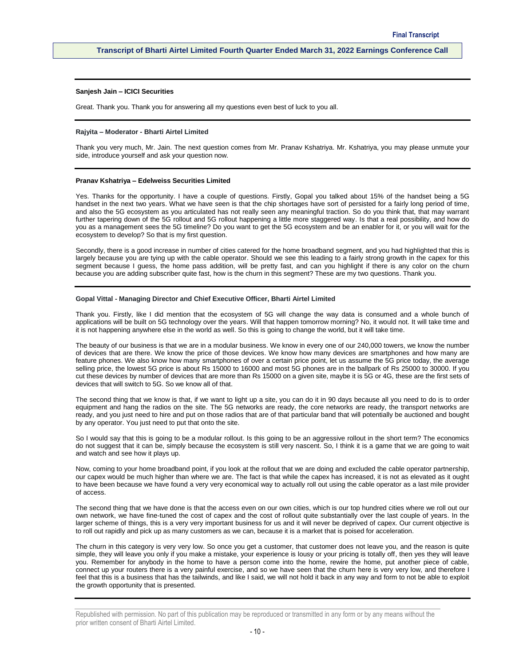# **Sanjesh Jain – ICICI Securities**

Great. Thank you. Thank you for answering all my questions even best of luck to you all.

#### **Rajyita – Moderator - Bharti Airtel Limited**

Thank you very much, Mr. Jain. The next question comes from Mr. Pranav Kshatriya. Mr. Kshatriya, you may please unmute your side, introduce yourself and ask your question now.

#### **Pranav Kshatriya – Edelweiss Securities Limited**

Yes. Thanks for the opportunity. I have a couple of questions. Firstly, Gopal you talked about 15% of the handset being a 5G handset in the next two years. What we have seen is that the chip shortages have sort of persisted for a fairly long period of time, and also the 5G ecosystem as you articulated has not really seen any meaningful traction. So do you think that, that may warrant further tapering down of the 5G rollout and 5G rollout happening a little more staggered way. Is that a real possibility, and how do you as a management sees the 5G timeline? Do you want to get the 5G ecosystem and be an enabler for it, or you will wait for the ecosystem to develop? So that is my first question.

Secondly, there is a good increase in number of cities catered for the home broadband segment, and you had highlighted that this is largely because you are tying up with the cable operator. Should we see this leading to a fairly strong growth in the capex for this segment because I guess, the home pass addition, will be pretty fast, and can you highlight if there is any color on the churn because you are adding subscriber quite fast, how is the churn in this segment? These are my two questions. Thank you.

#### **Gopal Vittal - Managing Director and Chief Executive Officer, Bharti Airtel Limited**

Thank you. Firstly, like I did mention that the ecosystem of 5G will change the way data is consumed and a whole bunch of applications will be built on 5G technology over the years. Will that happen tomorrow morning? No, it would not. It will take time and it is not happening anywhere else in the world as well. So this is going to change the world, but it will take time.

The beauty of our business is that we are in a modular business. We know in every one of our 240,000 towers, we know the number of devices that are there. We know the price of those devices. We know how many devices are smartphones and how many are feature phones. We also know how many smartphones of over a certain price point, let us assume the 5G price today, the average selling price, the lowest 5G price is about Rs 15000 to 16000 and most 5G phones are in the ballpark of Rs 25000 to 30000. If you cut these devices by number of devices that are more than Rs 15000 on a given site, maybe it is 5G or 4G, these are the first sets of devices that will switch to 5G. So we know all of that.

The second thing that we know is that, if we want to light up a site, you can do it in 90 days because all you need to do is to order equipment and hang the radios on the site. The 5G networks are ready, the core networks are ready, the transport networks are ready, and you just need to hire and put on those radios that are of that particular band that will potentially be auctioned and bought by any operator. You just need to put that onto the site.

So I would say that this is going to be a modular rollout. Is this going to be an aggressive rollout in the short term? The economics do not suggest that it can be, simply because the ecosystem is still very nascent. So, I think it is a game that we are going to wait and watch and see how it plays up.

Now, coming to your home broadband point, if you look at the rollout that we are doing and excluded the cable operator partnership, our capex would be much higher than where we are. The fact is that while the capex has increased, it is not as elevated as it ought to have been because we have found a very very economical way to actually roll out using the cable operator as a last mile provider of access.

The second thing that we have done is that the access even on our own cities, which is our top hundred cities where we roll out our own network, we have fine-tuned the cost of capex and the cost of rollout quite substantially over the last couple of years. In the larger scheme of things, this is a very very important business for us and it will never be deprived of capex. Our current objective is to roll out rapidly and pick up as many customers as we can, because it is a market that is poised for acceleration.

The churn in this category is very very low. So once you get a customer, that customer does not leave you, and the reason is quite simple, they will leave you only if you make a mistake, your experience is lousy or your pricing is totally off, then yes they will leave you. Remember for anybody in the home to have a person come into the home, rewire the home, put another piece of cable, connect up your routers there is a very painful exercise, and so we have seen that the churn here is very very low, and therefore I feel that this is a business that has the tailwinds, and like I said, we will not hold it back in any way and form to not be able to exploit the growth opportunity that is presented.

Republished with permission. No part of this publication may be reproduced or transmitted in any form or by any means without the prior written consent of Bharti Airtel Limited.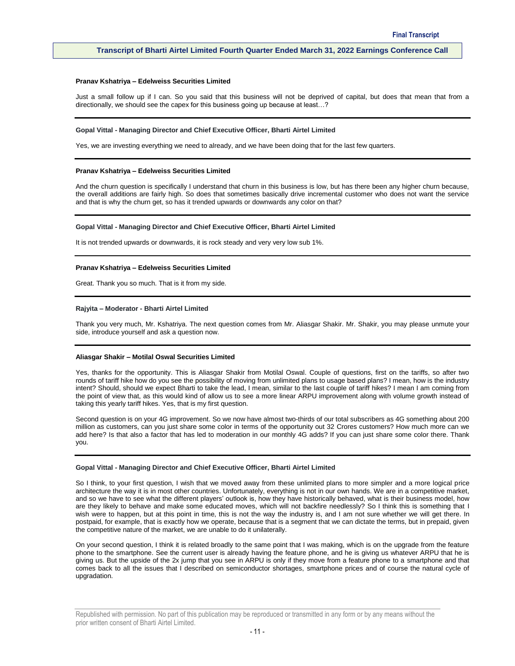#### **Pranav Kshatriya – Edelweiss Securities Limited**

Just a small follow up if I can. So you said that this business will not be deprived of capital, but does that mean that from a directionally, we should see the capex for this business going up because at least…?

#### **Gopal Vittal - Managing Director and Chief Executive Officer, Bharti Airtel Limited**

Yes, we are investing everything we need to already, and we have been doing that for the last few quarters.

#### **Pranav Kshatriya – Edelweiss Securities Limited**

And the churn question is specifically I understand that churn in this business is low, but has there been any higher churn because, the overall additions are fairly high. So does that sometimes basically drive incremental customer who does not want the service and that is why the churn get, so has it trended upwards or downwards any color on that?

#### **Gopal Vittal - Managing Director and Chief Executive Officer, Bharti Airtel Limited**

It is not trended upwards or downwards, it is rock steady and very very low sub 1%.

#### **Pranav Kshatriya – Edelweiss Securities Limited**

Great. Thank you so much. That is it from my side.

#### **Rajyita – Moderator - Bharti Airtel Limited**

Thank you very much, Mr. Kshatriya. The next question comes from Mr. Aliasgar Shakir. Mr. Shakir, you may please unmute your side, introduce yourself and ask a question now.

#### **Aliasgar Shakir – Motilal Oswal Securities Limited**

Yes, thanks for the opportunity. This is Aliasgar Shakir from Motilal Oswal. Couple of questions, first on the tariffs, so after two rounds of tariff hike how do you see the possibility of moving from unlimited plans to usage based plans? I mean, how is the industry intent? Should, should we expect Bharti to take the lead, I mean, similar to the last couple of tariff hikes? I mean I am coming from the point of view that, as this would kind of allow us to see a more linear ARPU improvement along with volume growth instead of taking this yearly tariff hikes. Yes, that is my first question.

Second question is on your 4G improvement. So we now have almost two-thirds of our total subscribers as 4G something about 200 million as customers, can you just share some color in terms of the opportunity out 32 Crores customers? How much more can we add here? Is that also a factor that has led to moderation in our monthly 4G adds? If you can just share some color there. Thank you.

#### **Gopal Vittal - Managing Director and Chief Executive Officer, Bharti Airtel Limited**

So I think, to your first question, I wish that we moved away from these unlimited plans to more simpler and a more logical price architecture the way it is in most other countries. Unfortunately, everything is not in our own hands. We are in a competitive market, and so we have to see what the different players' outlook is, how they have historically behaved, what is their business model, how are they likely to behave and make some educated moves, which will not backfire needlessly? So I think this is something that I wish were to happen, but at this point in time, this is not the way the industry is, and I am not sure whether we will get there. In postpaid, for example, that is exactly how we operate, because that is a segment that we can dictate the terms, but in prepaid, given the competitive nature of the market, we are unable to do it unilaterally.

On your second question, I think it is related broadly to the same point that I was making, which is on the upgrade from the feature phone to the smartphone. See the current user is already having the feature phone, and he is giving us whatever ARPU that he is giving us. But the upside of the 2x jump that you see in ARPU is only if they move from a feature phone to a smartphone and that comes back to all the issues that I described on semiconductor shortages, smartphone prices and of course the natural cycle of upgradation.

Republished with permission. No part of this publication may be reproduced or transmitted in any form or by any means without the prior written consent of Bharti Airtel Limited.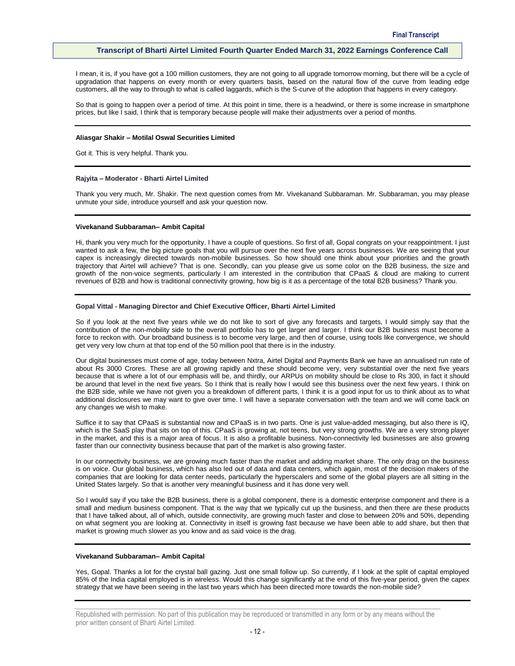I mean, it is, if you have got a 100 million customers, they are not going to all upgrade tomorrow morning, but there will be a cycle of upgradation that happens on every month or every quarters basis, based on the natural flow of the curve from leading edge customers, all the way to through to what is called laggards, which is the S-curve of the adoption that happens in every category.

So that is going to happen over a period of time. At this point in time, there is a headwind, or there is some increase in smartphone prices, but like I said, I think that is temporary because people will make their adjustments over a period of months.

# **Aliasgar Shakir – Motilal Oswal Securities Limited**

Got it. This is very helpful. Thank you.

#### **Rajyita – Moderator - Bharti Airtel Limited**

Thank you very much, Mr. Shakir. The next question comes from Mr. Vivekanand Subbaraman. Mr. Subbaraman, you may please unmute your side, introduce yourself and ask your question now.

# **Vivekanand Subbaraman– Ambit Capital**

Hi, thank you very much for the opportunity. I have a couple of questions. So first of all, Gopal congrats on your reappointment. I just wanted to ask a few, the big picture goals that you will pursue over the next five years across businesses. We are seeing that your capex is increasingly directed towards non-mobile businesses. So how should one think about your priorities and the growth trajectory that Airtel will achieve? That is one. Secondly, can you please give us some color on the B2B business, the size and growth of the non-voice segments, particularly I am interested in the contribution that CPaaS & cloud are making to current revenues of B2B and how is traditional connectivity growing, how big is it as a percentage of the total B2B business? Thank you.

#### **Gopal Vittal - Managing Director and Chief Executive Officer, Bharti Airtel Limited**

So if you look at the next five years while we do not like to sort of give any forecasts and targets, I would simply say that the contribution of the non-mobility side to the overall portfolio has to get larger and larger. I think our B2B business must become a force to reckon with. Our broadband business is to become very large, and then of course, using tools like convergence, we should get very very low churn at that top end of the 50 million pool that there is in the industry.

Our digital businesses must come of age, today between Nxtra, Airtel Digital and Payments Bank we have an annualised run rate of about Rs 3000 Crores. These are all growing rapidly and these should become very, very substantial over the next five years because that is where a lot of our emphasis will be, and thirdly, our ARPUs on mobility should be close to Rs 300, in fact it should be around that level in the next five years. So I think that is really how I would see this business over the next few years. I think on the B2B side, while we have not given you a breakdown of different parts, I think it is a good input for us to think about as to what additional disclosures we may want to give over time. I will have a separate conversation with the team and we will come back on any changes we wish to make.

Suffice it to say that CPaaS is substantial now and CPaaS is in two parts. One is just value-added messaging, but also there is IQ, which is the SaaS play that sits on top of this. CPaaS is growing at, not teens, but very strong growths. We are a very strong player in the market, and this is a major area of focus. It is also a profitable business. Non-connectivity led businesses are also growing faster than our connectivity business because that part of the market is also growing faster.

In our connectivity business, we are growing much faster than the market and adding market share. The only drag on the business is on voice. Our global business, which has also led out of data and data centers, which again, most of the decision makers of the companies that are looking for data center needs, particularly the hyperscalers and some of the global players are all sitting in the United States largely. So that is another very meaningful business and it has done very well.

So I would say if you take the B2B business, there is a global component, there is a domestic enterprise component and there is a small and medium business component. That is the way that we typically cut up the business, and then there are these products that I have talked about, all of which, outside connectivity, are growing much faster and close to between 20% and 50%, depending on what segment you are looking at. Connectivity in itself is growing fast because we have been able to add share, but then that market is growing much slower as you know and as said voice is the drag.

#### **Vivekanand Subbaraman– Ambit Capital**

Yes, Gopal. Thanks a lot for the crystal ball gazing. Just one small follow up. So currently, if I look at the split of capital employed 85% of the India capital employed is in wireless. Would this change significantly at the end of this five-year period, given the capex strategy that we have been seeing in the last two years which has been directed more towards the non-mobile side?

Republished with permission. No part of this publication may be reproduced or transmitted in any form or by any means without the prior written consent of Bharti Airtel Limited.